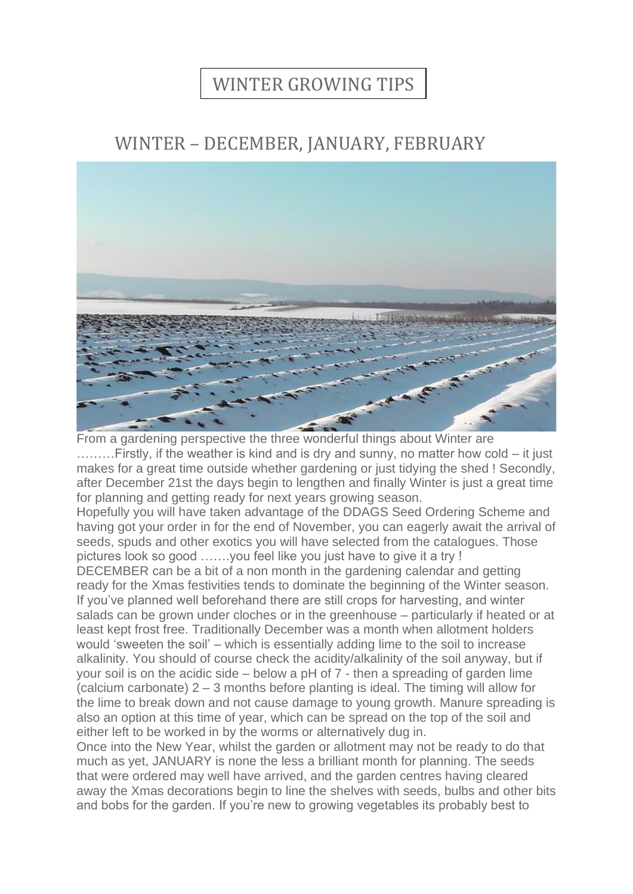## WINTER GROWING TIPS

## WINTER – DECEMBER, JANUARY, FEBRUARY



From a gardening perspective the three wonderful things about Winter are ………Firstly, if the weather is kind and is dry and sunny, no matter how cold – it just makes for a great time outside whether gardening or just tidying the shed ! Secondly, after December 21st the days begin to lengthen and finally Winter is just a great time for planning and getting ready for next years growing season.

Hopefully you will have taken advantage of the DDAGS Seed Ordering Scheme and having got your order in for the end of November, you can eagerly await the arrival of seeds, spuds and other exotics you will have selected from the catalogues. Those pictures look so good …….you feel like you just have to give it a try !

DECEMBER can be a bit of a non month in the gardening calendar and getting ready for the Xmas festivities tends to dominate the beginning of the Winter season. If you've planned well beforehand there are still crops for harvesting, and winter salads can be grown under cloches or in the greenhouse – particularly if heated or at least kept frost free. Traditionally December was a month when allotment holders would 'sweeten the soil' – which is essentially adding lime to the soil to increase alkalinity. You should of course check the acidity/alkalinity of the soil anyway, but if your soil is on the acidic side – below a pH of 7 - then a spreading of garden lime (calcium carbonate) 2 – 3 months before planting is ideal. The timing will allow for the lime to break down and not cause damage to young growth. Manure spreading is also an option at this time of year, which can be spread on the top of the soil and either left to be worked in by the worms or alternatively dug in.

Once into the New Year, whilst the garden or allotment may not be ready to do that much as yet, JANUARY is none the less a brilliant month for planning. The seeds that were ordered may well have arrived, and the garden centres having cleared away the Xmas decorations begin to line the shelves with seeds, bulbs and other bits and bobs for the garden. If you're new to growing vegetables its probably best to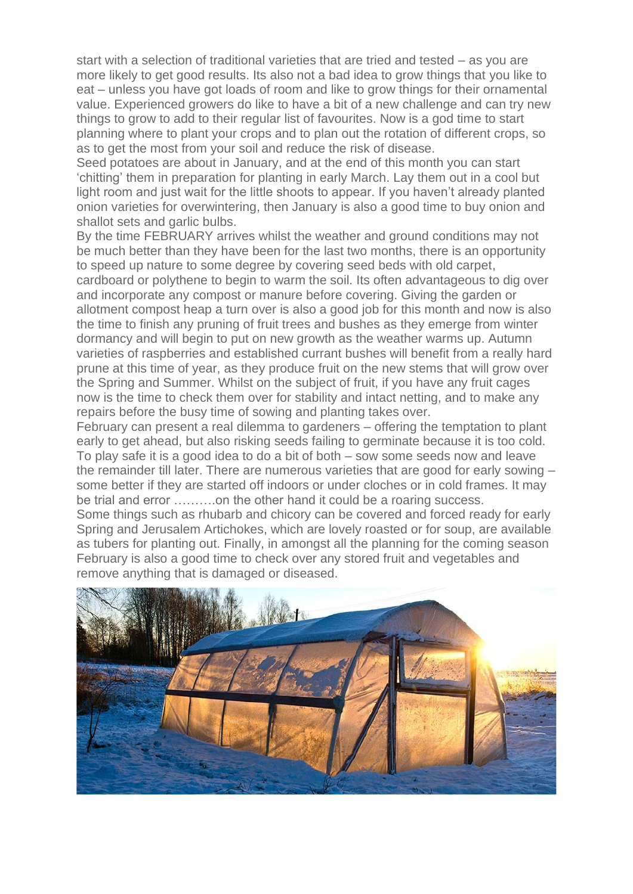start with a selection of traditional varieties that are tried and tested – as you are more likely to get good results. Its also not a bad idea to grow things that you like to eat – unless you have got loads of room and like to grow things for their ornamental value. Experienced growers do like to have a bit of a new challenge and can try new things to grow to add to their regular list of favourites. Now is a god time to start planning where to plant your crops and to plan out the rotation of different crops, so as to get the most from your soil and reduce the risk of disease.

Seed potatoes are about in January, and at the end of this month you can start 'chitting' them in preparation for planting in early March. Lay them out in a cool but light room and just wait for the little shoots to appear. If you haven't already planted onion varieties for overwintering, then January is also a good time to buy onion and shallot sets and garlic bulbs.

By the time FEBRUARY arrives whilst the weather and ground conditions may not be much better than they have been for the last two months, there is an opportunity to speed up nature to some degree by covering seed beds with old carpet, cardboard or polythene to begin to warm the soil. Its often advantageous to dig over and incorporate any compost or manure before covering. Giving the garden or allotment compost heap a turn over is also a good job for this month and now is also the time to finish any pruning of fruit trees and bushes as they emerge from winter dormancy and will begin to put on new growth as the weather warms up. Autumn varieties of raspberries and established currant bushes will benefit from a really hard prune at this time of year, as they produce fruit on the new stems that will grow over the Spring and Summer. Whilst on the subject of fruit, if you have any fruit cages now is the time to check them over for stability and intact netting, and to make any repairs before the busy time of sowing and planting takes over.

February can present a real dilemma to gardeners – offering the temptation to plant early to get ahead, but also risking seeds failing to germinate because it is too cold. To play safe it is a good idea to do a bit of both – sow some seeds now and leave the remainder till later. There are numerous varieties that are good for early sowing – some better if they are started off indoors or under cloches or in cold frames. It may be trial and error ……….on the other hand it could be a roaring success.

Some things such as rhubarb and chicory can be covered and forced ready for early Spring and Jerusalem Artichokes, which are lovely roasted or for soup, are available as tubers for planting out. Finally, in amongst all the planning for the coming season February is also a good time to check over any stored fruit and vegetables and remove anything that is damaged or diseased.